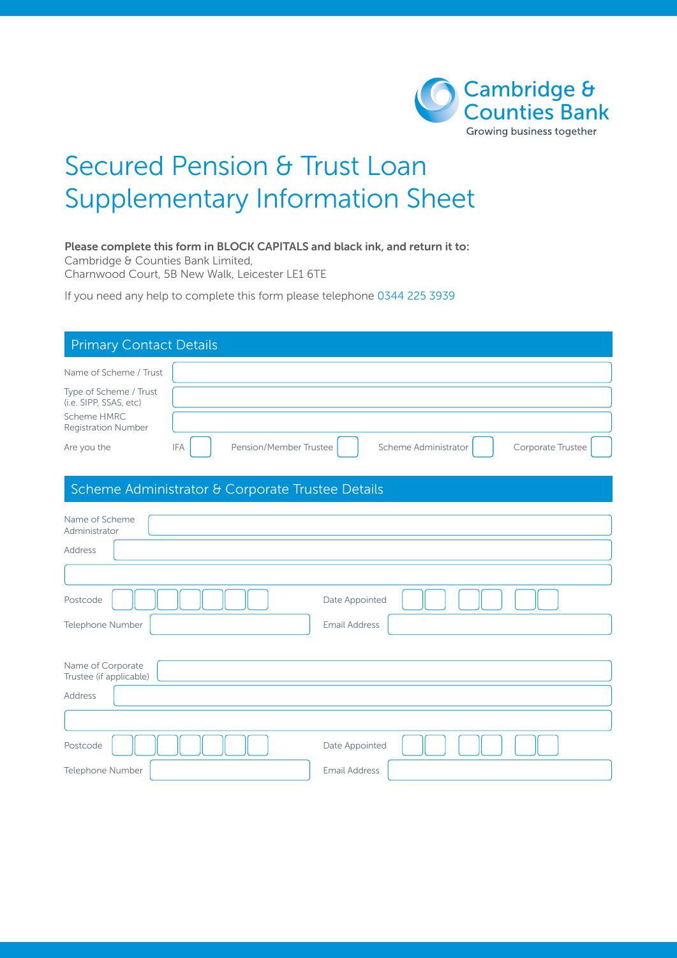

## Secured Pension & Trust Loan Supplementary Information Sheet

## Please complete this form in BLOCK CAPITALS and black ink, and return it to:

Cambridge & Counties Bank Limited,

Charnwood Court, 5B New Walk, Leicester LE1 6TE

If you need any help to complete this form please telephone 0344 225 3939

| <b>Primary Contact Details</b>                   |                                      |                      |                      |                   |  |
|--------------------------------------------------|--------------------------------------|----------------------|----------------------|-------------------|--|
| Name of Scheme / Trust                           |                                      |                      |                      |                   |  |
| Type of Scheme / Trust<br>(i.e. SIPP, SSAS, etc) |                                      |                      |                      |                   |  |
| Scheme HMRC<br><b>Registration Number</b>        |                                      |                      |                      |                   |  |
| Are you the                                      | <b>IFA</b><br>Pension/Member Trustee |                      | Scheme Administrator | Corporate Trustee |  |
| Scheme Administrator & Corporate Trustee Details |                                      |                      |                      |                   |  |
| Name of Scheme<br>Administrator                  |                                      |                      |                      |                   |  |
| Address                                          |                                      |                      |                      |                   |  |
|                                                  |                                      |                      |                      |                   |  |
| Postcode                                         |                                      | Date Appointed       |                      |                   |  |
| Telephone Number                                 |                                      | <b>Email Address</b> |                      |                   |  |
|                                                  |                                      |                      |                      |                   |  |
| Name of Corporate<br>Trustee (if applicable)     |                                      |                      |                      |                   |  |
| Address                                          |                                      |                      |                      |                   |  |
|                                                  |                                      |                      |                      |                   |  |
| Postcode                                         |                                      | Date Appointed       |                      |                   |  |
| Telephone Number                                 |                                      | <b>Email Address</b> |                      |                   |  |